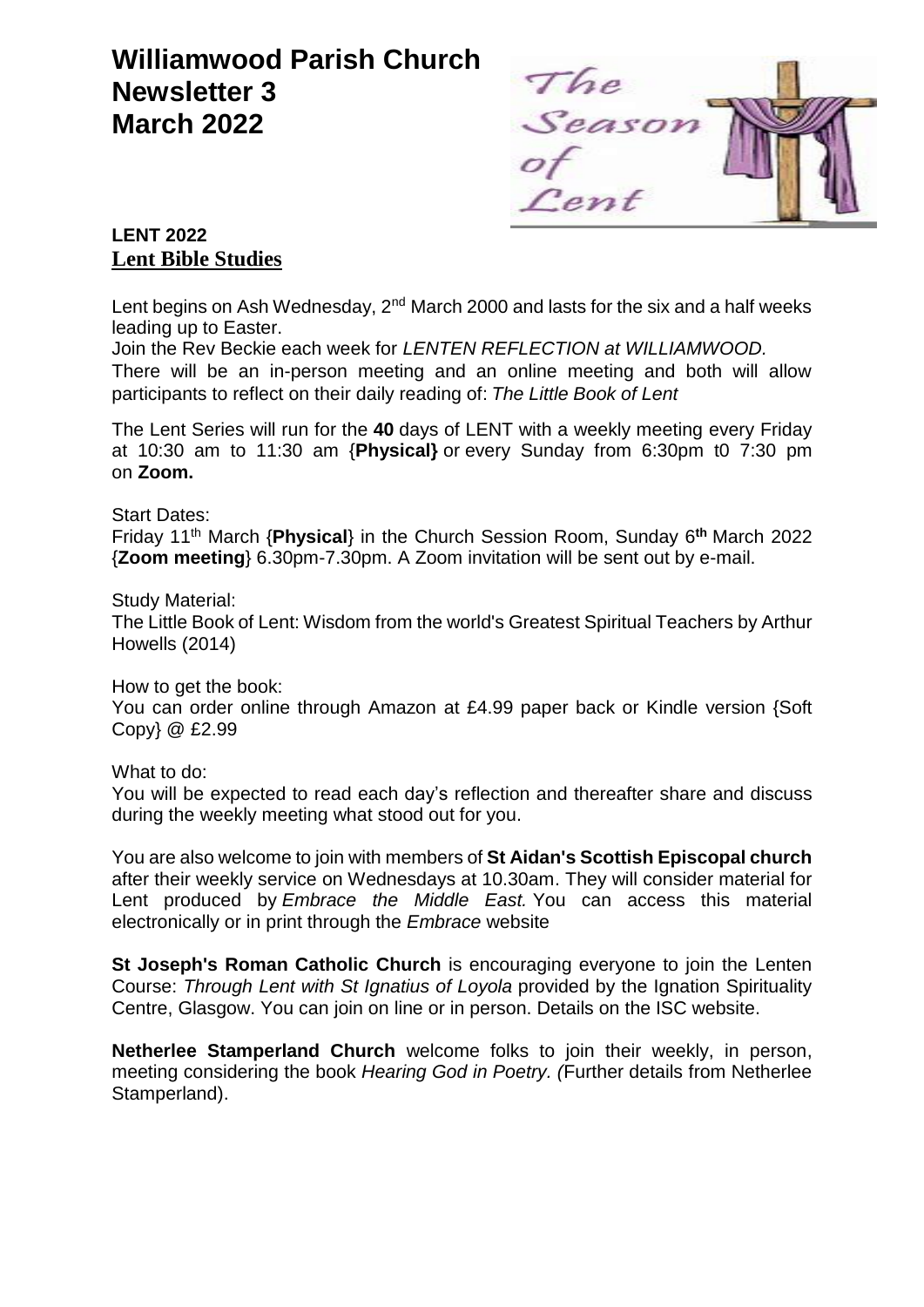# **Williamwood Parish Church Newsletter 3 March 2022**



# **LENT 2022 Lent Bible Studies**

Lent begins on Ash Wednesday,  $2^{nd}$  March 2000 and lasts for the six and a half weeks leading up to Easter.

Join the Rev Beckie each week for *LENTEN REFLECTION at WILLIAMWOOD.* There will be an in-person meeting and an online meeting and both will allow participants to reflect on their daily reading of: *The Little Book of Lent*

The Lent Series will run for the **40** days of LENT with a weekly meeting every Friday at 10:30 am to 11:30 am {**Physical}** or every Sunday from 6:30pm t0 7:30 pm on **Zoom.**

#### Start Dates:

Friday 11<sup>th</sup> March {Physical} in the Church Session Room, Sunday 6<sup>th</sup> March 2022 {**Zoom meeting**} 6.30pm-7.30pm. A Zoom invitation will be sent out by e-mail.

#### Study Material:

The Little Book of Lent: Wisdom from the world's Greatest Spiritual Teachers by Arthur Howells (2014)

How to get the book:

You can order online through Amazon at £4.99 paper back or Kindle version {Soft Copy} @ £2.99

What to do:

You will be expected to read each day's reflection and thereafter share and discuss during the weekly meeting what stood out for you.

You are also welcome to join with members of **St Aidan's Scottish Episcopal church** after their weekly service on Wednesdays at 10.30am. They will consider material for Lent produced by *Embrace the Middle East.* You can access this material electronically or in print through the *Embrace* website

**St Joseph's Roman Catholic Church** is encouraging everyone to join the Lenten Course: *Through Lent with St Ignatius of Loyola* provided by the Ignation Spirituality Centre, Glasgow. You can join on line or in person. Details on the ISC website.

**Netherlee Stamperland Church** welcome folks to join their weekly, in person, meeting considering the book *Hearing God in Poetry. (*Further details from Netherlee Stamperland).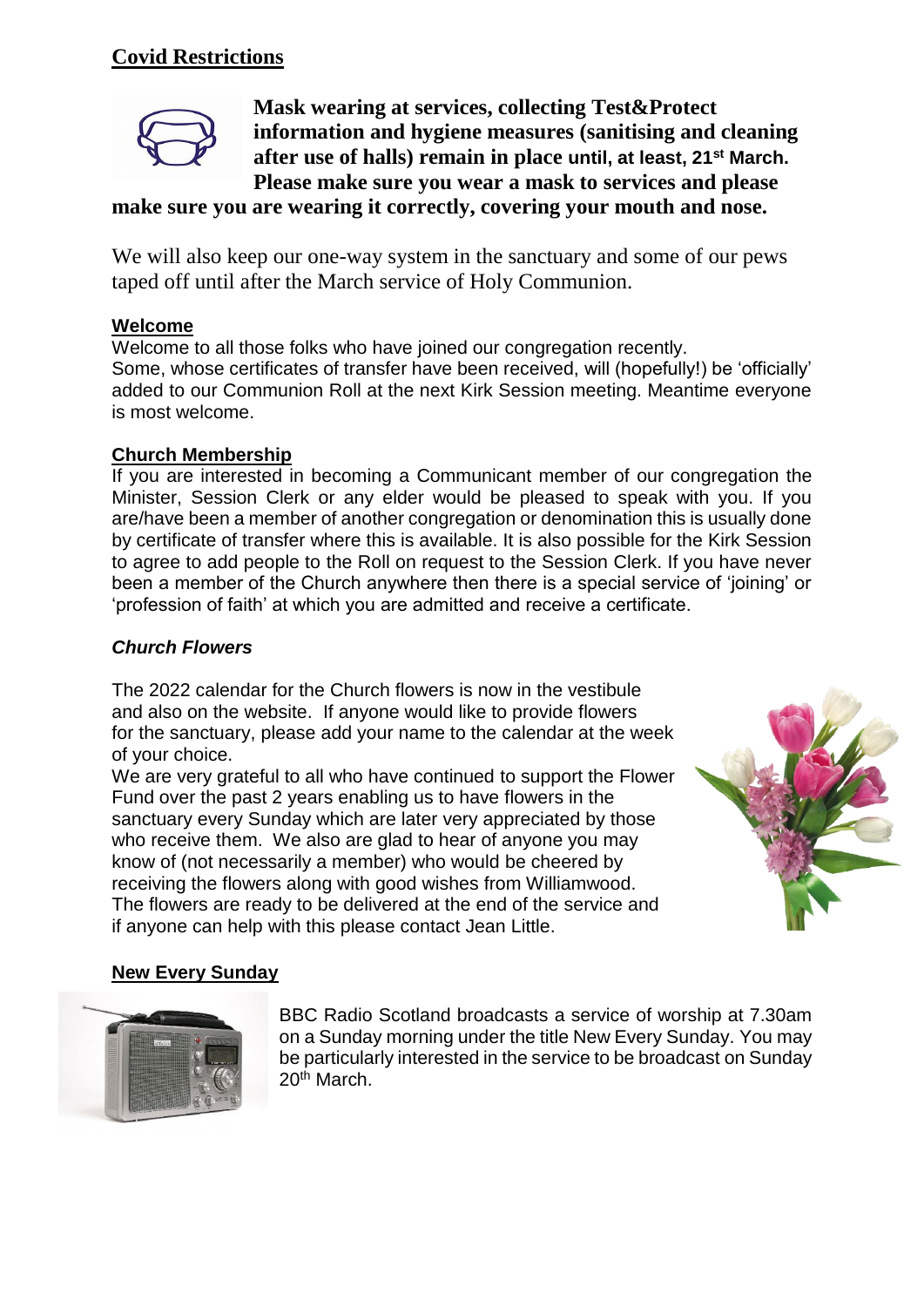# **Covid Restrictions**



**Mask wearing at services, collecting Test&Protect information and hygiene measures (sanitising and cleaning after use of halls) remain in place until, at least, 21st March. Please make sure you wear a mask to services and please** 

## **make sure you are wearing it correctly, covering your mouth and nose.**

We will also keep our one-way system in the sanctuary and some of our pews taped off until after the March service of Holy Communion.

### **Welcome**

Welcome to all those folks who have joined our congregation recently. Some, whose certificates of transfer have been received, will (hopefully!) be 'officially' added to our Communion Roll at the next Kirk Session meeting. Meantime everyone is most welcome.

#### **Church Membership**

If you are interested in becoming a Communicant member of our congregation the Minister, Session Clerk or any elder would be pleased to speak with you. If you are/have been a member of another congregation or denomination this is usually done by certificate of transfer where this is available. It is also possible for the Kirk Session to agree to add people to the Roll on request to the Session Clerk. If you have never been a member of the Church anywhere then there is a special service of 'joining' or 'profession of faith' at which you are admitted and receive a certificate.

## *Church Flowers*

The 2022 calendar for the Church flowers is now in the vestibule and also on the website. If anyone would like to provide flowers for the sanctuary, please add your name to the calendar at the week of your choice.

We are very grateful to all who have continued to support the Flower Fund over the past 2 years enabling us to have flowers in the sanctuary every Sunday which are later very appreciated by those who receive them. We also are glad to hear of anyone you may know of (not necessarily a member) who would be cheered by receiving the flowers along with good wishes from Williamwood. The flowers are ready to be delivered at the end of the service and if anyone can help with this please contact Jean Little.



#### **New Every Sunday**



BBC Radio Scotland broadcasts a service of worship at 7.30am on a Sunday morning under the title New Every Sunday. You may be particularly interested in the service to be broadcast on Sunday 20<sup>th</sup> March.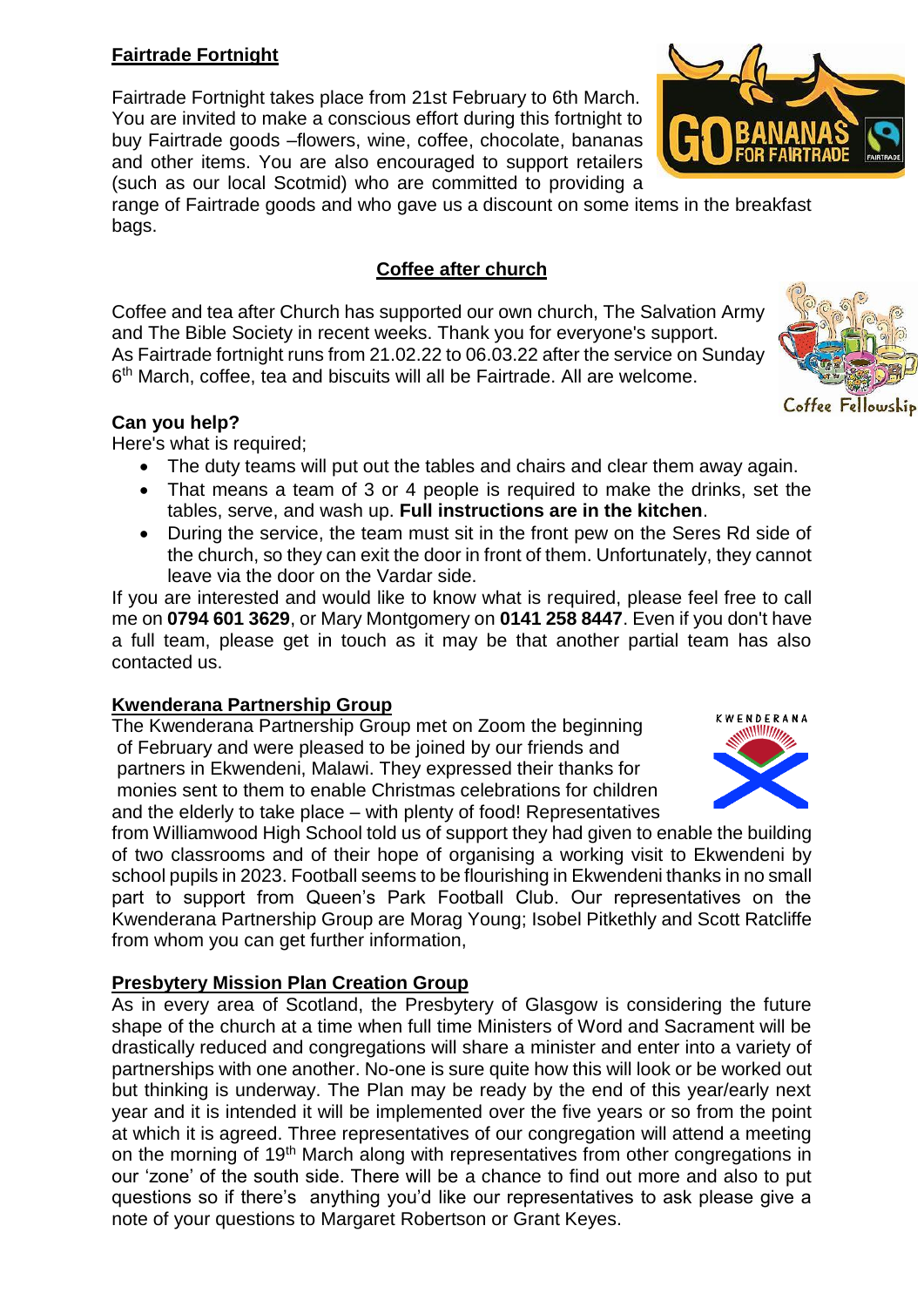# **Fairtrade Fortnight**

Fairtrade Fortnight takes place from 21st February to 6th March. You are invited to make a conscious effort during this fortnight to buy Fairtrade goods –flowers, wine, coffee, chocolate, bananas and other items. You are also encouraged to support retailers (such as our local Scotmid) who are committed to providing a

range of Fairtrade goods and who gave us a discount on some items in the breakfast bags.

# **Coffee after church**

Coffee and tea after Church has supported our own church, The Salvation Army and The Bible Society in recent weeks. Thank you for everyone's support. As Fairtrade fortnight runs from 21.02.22 to 06.03.22 after the service on Sunday 6 th March, coffee, tea and biscuits will all be Fairtrade. All are welcome.

## **Can you help?**

Here's what is required;

- The duty teams will put out the tables and chairs and clear them away again.
- That means a team of 3 or 4 people is required to make the drinks, set the tables, serve, and wash up. **Full instructions are in the kitchen**.
- During the service, the team must sit in the front pew on the Seres Rd side of the church, so they can exit the door in front of them. Unfortunately, they cannot leave via the door on the Vardar side.

If you are interested and would like to know what is required, please feel free to call me on **0794 601 3629**, or Mary Montgomery on **0141 258 8447**. Even if you don't have a full team, please get in touch as it may be that another partial team has also contacted us.

## **Kwenderana Partnership Group**

The Kwenderana Partnership Group met on Zoom the beginning of February and were pleased to be joined by our friends and partners in Ekwendeni, Malawi. They expressed their thanks for monies sent to them to enable Christmas celebrations for children and the elderly to take place – with plenty of food! Representatives

from Williamwood High School told us of support they had given to enable the building of two classrooms and of their hope of organising a working visit to Ekwendeni by school pupils in 2023. Football seems to be flourishing in Ekwendeni thanks in no small part to support from Queen's Park Football Club. Our representatives on the Kwenderana Partnership Group are Morag Young; Isobel Pitkethly and Scott Ratcliffe from whom you can get further information,

# **Presbytery Mission Plan Creation Group**

As in every area of Scotland, the Presbytery of Glasgow is considering the future shape of the church at a time when full time Ministers of Word and Sacrament will be drastically reduced and congregations will share a minister and enter into a variety of partnerships with one another. No-one is sure quite how this will look or be worked out but thinking is underway. The Plan may be ready by the end of this year/early next year and it is intended it will be implemented over the five years or so from the point at which it is agreed. Three representatives of our congregation will attend a meeting on the morning of 19th March along with representatives from other congregations in our 'zone' of the south side. There will be a chance to find out more and also to put questions so if there's anything you'd like our representatives to ask please give a note of your questions to Margaret Robertson or Grant Keyes.







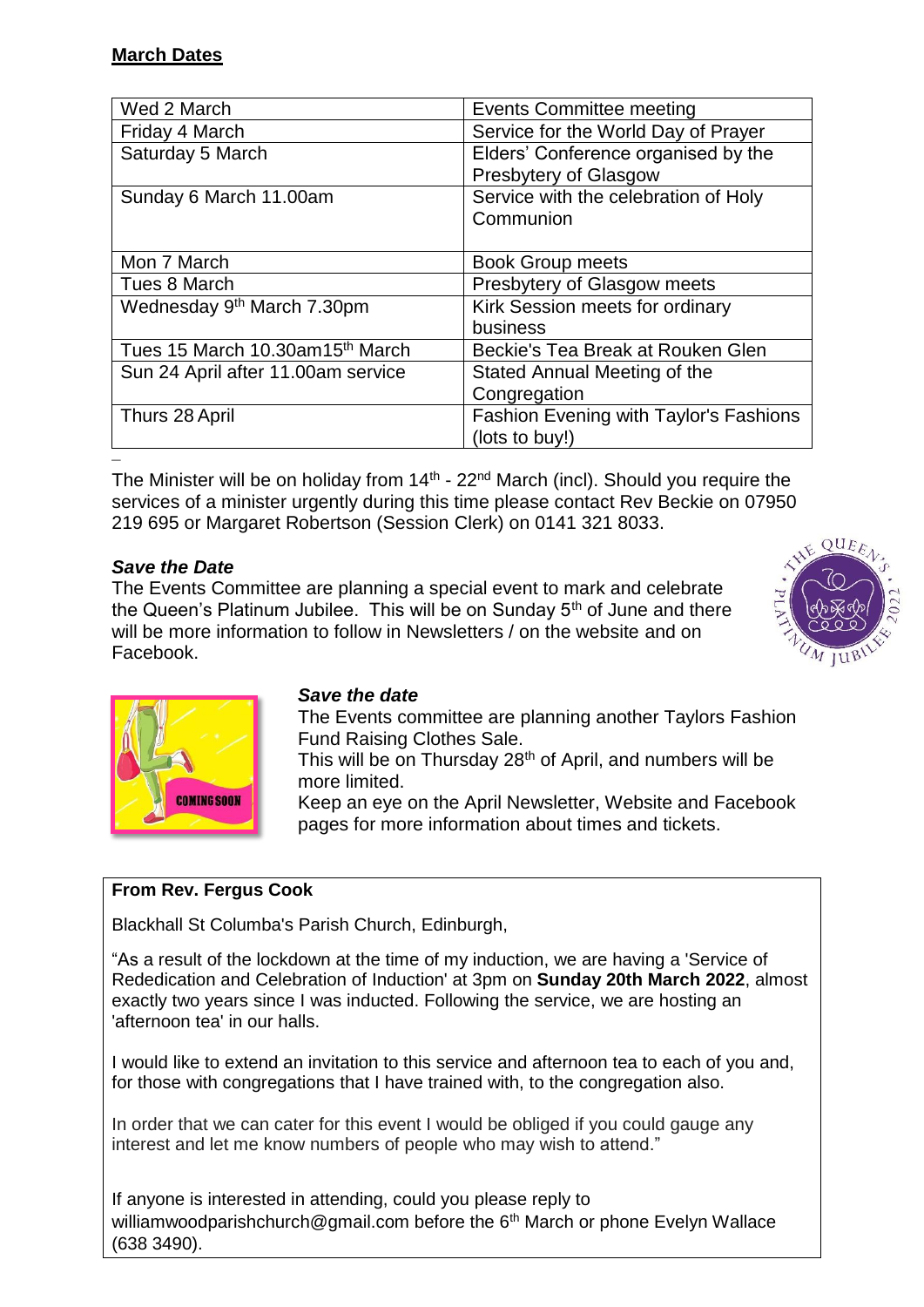| Wed 2 March                                 | <b>Events Committee meeting</b>        |
|---------------------------------------------|----------------------------------------|
| Friday 4 March                              | Service for the World Day of Prayer    |
| Saturday 5 March                            | Elders' Conference organised by the    |
|                                             | Presbytery of Glasgow                  |
| Sunday 6 March 11.00am                      | Service with the celebration of Holy   |
|                                             | Communion                              |
|                                             |                                        |
| Mon 7 March                                 | <b>Book Group meets</b>                |
| Tues 8 March                                | Presbytery of Glasgow meets            |
| Wednesday 9 <sup>th</sup> March 7.30pm      | Kirk Session meets for ordinary        |
|                                             | business                               |
| Tues 15 March 10.30am15 <sup>th</sup> March | Beckie's Tea Break at Rouken Glen      |
| Sun 24 April after 11.00am service          | Stated Annual Meeting of the           |
|                                             | Congregation                           |
| Thurs 28 April                              | Fashion Evening with Taylor's Fashions |
|                                             | (lots to buy!)                         |
|                                             |                                        |

The Minister will be on holiday from  $14<sup>th</sup>$  - 22<sup>nd</sup> March (incl). Should you require the services of a minister urgently during this time please contact Rev Beckie on 07950 219 695 or Margaret Robertson (Session Clerk) on 0141 321 8033.

## *Save the Date*

The Events Committee are planning a special event to mark and celebrate the Queen's Platinum Jubilee. This will be on Sunday 5<sup>th</sup> of June and there will be more information to follow in Newsletters / on the website and on Facebook.





## *Save the date*

The Events committee are planning another Taylors Fashion Fund Raising Clothes Sale.

This will be on Thursday 28<sup>th</sup> of April, and numbers will be more limited.

Keep an eye on the April Newsletter, Website and Facebook pages for more information about times and tickets.

# **From Rev. Fergus Cook**

Blackhall St Columba's Parish Church, Edinburgh,

"As a result of the lockdown at the time of my induction, we are having a 'Service of Rededication and Celebration of Induction' at 3pm on **Sunday 20th March 2022**, almost exactly two years since I was inducted. Following the service, we are hosting an 'afternoon tea' in our halls.

I would like to extend an invitation to this service and afternoon tea to each of you and, for those with congregations that I have trained with, to the congregation also.

In order that we can cater for this event I would be obliged if you could gauge any interest and let me know numbers of people who may wish to attend."

If anyone is interested in attending, could you please reply to williamwoodparishchurch@gmail.com before the 6<sup>th</sup> March or phone Evelyn Wallace (638 3490).